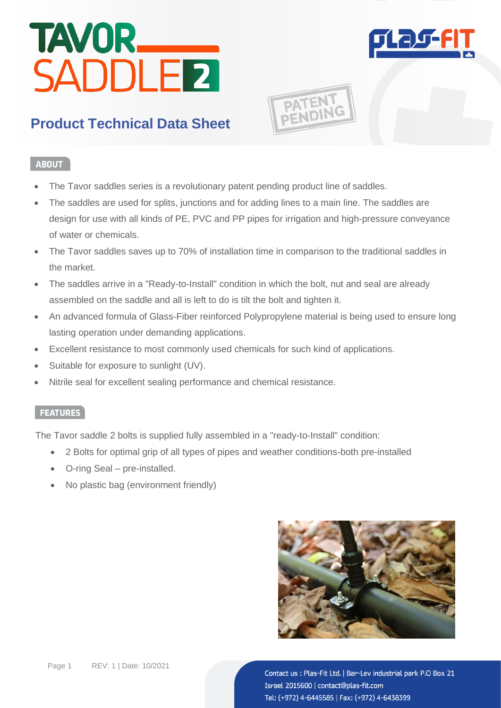# TAVOR<br>SADDLER



**PATENT**<br>PENDING

# **Product Technical Data Sheet**

### **ABOUT**

- The Tavor saddles series is a revolutionary patent pending product line of saddles.
- The saddles are used for splits, junctions and for adding lines to a main line. The saddles are design for use with all kinds of PE, PVC and PP pipes for irrigation and high-pressure conveyance of water or chemicals.
- The Tavor saddles saves up to 70% of installation time in comparison to the traditional saddles in the market.
- The saddles arrive in a "Ready-to-Install" condition in which the bolt, nut and seal are already assembled on the saddle and all is left to do is tilt the bolt and tighten it.
- An advanced formula of Glass-Fiber reinforced Polypropylene material is being used to ensure long lasting operation under demanding applications.
- Excellent resistance to most commonly used chemicals for such kind of applications.
- Suitable for exposure to sunlight (UV).
- Nitrile seal for excellent sealing performance and chemical resistance.

### **FEATURES**

The Tavor saddle 2 bolts is supplied fully assembled in a "ready-to-Install" condition:

- 2 Bolts for optimal grip of all types of pipes and weather conditions-both pre-installed
- O-ring Seal pre-installed.
- No plastic bag (environment friendly)

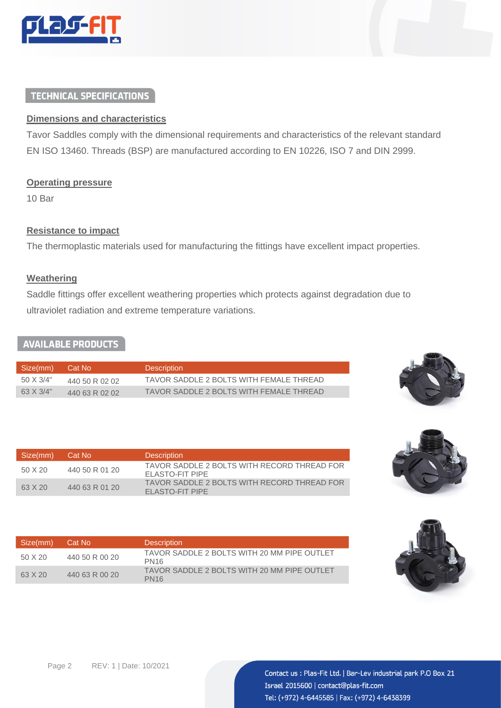

### **TECHNICAL SPECIFICATIONS**

### **Dimensions and characteristics**

Tavor Saddles comply with the dimensional requirements and characteristics of the relevant standard EN ISO 13460. Threads (BSP) are manufactured according to EN 10226, ISO 7 and DIN 2999.

### **Operating pressure**

10 Bar

### **Resistance to impact**

The thermoplastic materials used for manufacturing the fittings have excellent impact properties.

### **Weathering**

Saddle fittings offer excellent weathering properties which protects against degradation due to ultraviolet radiation and extreme temperature variations.

### **AVAILABLE PRODUCTS**

| Size(mm)  | Cat No         | <b>Description</b>                      |
|-----------|----------------|-----------------------------------------|
| 50 X 3/4" | 440 50 R 02 02 | TAVOR SADDLE 2 BOLTS WITH FEMALE THREAD |
| 63 X 3/4" | 440 63 R 02 02 | TAVOR SADDLE 2 BOLTS WITH FEMALE THREAD |



| Size(mm) | Cat No         | <b>Description</b>                                             |
|----------|----------------|----------------------------------------------------------------|
| 50 X 20  | 440 50 R 01 20 | TAVOR SADDLE 2 BOLTS WITH RECORD THREAD FOR<br>FLASTO-FIT PIPE |
| 63 X 20  | 440 63 R 01 20 | TAVOR SADDLE 2 BOLTS WITH RECORD THREAD FOR<br>ELASTO-FIT PIPE |



| Size(mm) | Cat No         | <b>Description</b>                                              |
|----------|----------------|-----------------------------------------------------------------|
| 50 X 20  | 440 50 R 00 20 | TAVOR SADDLE 2 BOLTS WITH 20 MM PIPE OUTLET<br>PN <sub>16</sub> |
| 63 X 20  | 440 63 R 00 20 | TAVOR SADDLE 2 BOLTS WITH 20 MM PIPE OUTLET<br><b>PN16</b>      |

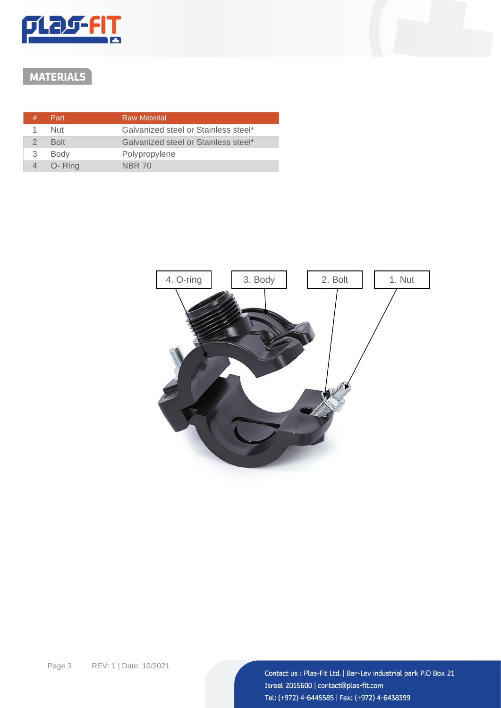

# MATERIALS

| # | Part        | <b>Raw Material</b>                  |
|---|-------------|--------------------------------------|
|   | 1 Nut       | Galvanized steel or Stainless steel* |
|   | <b>Bolt</b> | Galvanized steel or Stainless steel* |
| 3 | <b>Body</b> | Polypropylene                        |
|   | 4 O-Ring    | <b>NBR 70</b>                        |